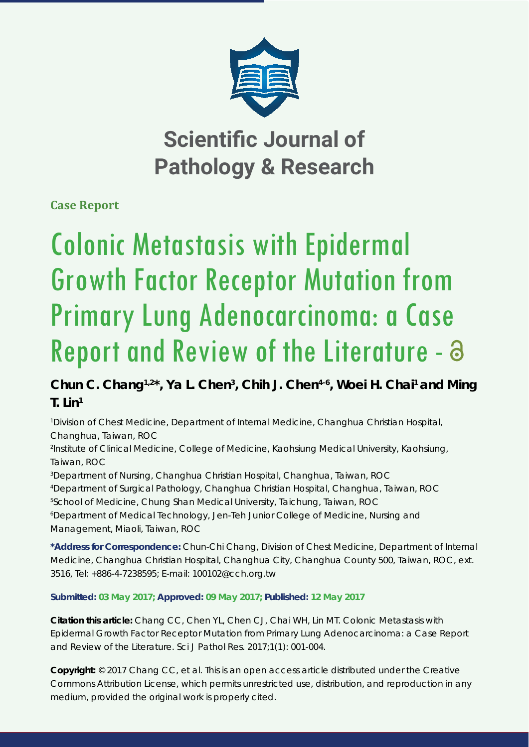

**Scientific Journal of Pathology & Research**

**Case Report**

# Colonic Metastasis with Epidermal Growth Factor Receptor Mutation from Primary Lung Adenocarcinoma: a Case Report and Review of the Literature -

Chun C. Chang<sup>1,2\*</sup>, Ya L. Chen<sup>3</sup>, Chih J. Chen<sup>4-6</sup>, Woei H. Chai<sup>1</sup> and Ming **T. Lin1**

*1 Division of Chest Medicine, Department of Internal Medicine, Changhua Christian Hospital, Changhua, Taiwan, ROC*

*2 Institute of Clinical Medicine, College of Medicine, Kaohsiung Medical University, Kaohsiung, Taiwan, ROC*

*3 Department of Nursing, Changhua Christian Hospital, Changhua, Taiwan, ROC*

 *Department of Surgical Pathology, Changhua Christian Hospital, Changhua, Taiwan, ROC School of Medicine, Chung Shan Medical University, Taichung, Taiwan, ROC Department of Medical Technology, Jen-Teh Junior College of Medicine, Nursing and Management, Miaoli, Taiwan, ROC*

**\*Address for Correspondence:** Chun-Chi Chang, Division of Chest Medicine, Department of Internal Medicine, Changhua Christian Hospital, Changhua City, Changhua County 500, Taiwan, ROC, ext. 3516, Tel: +886-4-7238595; E-mail: 100102@cch.org.tw

**Submitted: 03 May 2017; Approved: 09 May 2017; Published: 12 May 2017**

**Citation this article:** Chang CC, Chen YL, Chen CJ, Chai WH, Lin MT. Colonic Metastasis with Epidermal Growth Factor Receptor Mutation from Primary Lung Adenocarcinoma: a Case Report and Review of the Literature. Sci J Pathol Res. 2017;1(1): 001-004.

**Copyright:** © 2017 Chang CC, et al. This is an open access article distributed under the Creative Commons Attribution License, which permits unrestricted use, distribution, and reproduction in any medium, provided the original work is properly cited.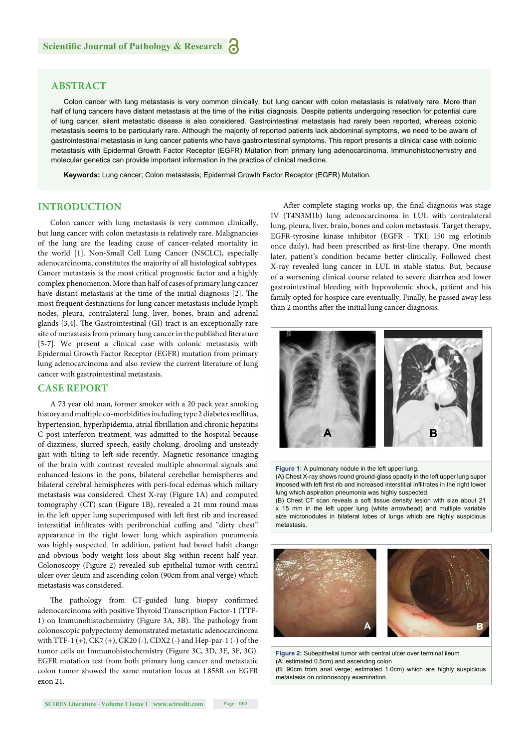# **ABSTRACT**

Colon cancer with lung metastasis is very common clinically, but lung cancer with colon metastasis is relatively rare. More than half of lung cancers have distant metastasis at the time of the initial diagnosis. Despite patients undergoing resection for potential cure of lung cancer, silent metastatic disease is also considered. Gastrointestinal metastasis had rarely been reported, whereas colonic metastasis seems to be particularly rare. Although the majority of reported patients lack abdominal symptoms, we need to be aware of gastrointestinal metastasis in lung cancer patients who have gastrointestinal symptoms. This report presents a clinical case with colonic metastasis with Epidermal Growth Factor Receptor (EGFR) Mutation from primary lung adenocarcinoma. Immunohistochemistry and molecular genetics can provide important information in the practice of clinical medicine.

**Keywords:** Lung cancer; Colon metastasis; Epidermal Growth Factor Receptor (EGFR) Mutation.

## **INTRODUCTION**

Colon cancer with lung metastasis is very common clinically, but lung cancer with colon metastasis is relatively rare. Malignancies of the lung are the leading cause of cancer-related mortality in the world [1]. Non-Small Cell Lung Cancer (NSCLC), especially adenocarcinoma, constitutes the majority of all histological subtypes. Cancer metastasis is the most critical prognostic factor and a highly complex phenomenon. More than half of cases of primary lung cancer have distant metastasis at the time of the initial diagnosis [2]. The most frequent destinations for lung cancer metastasis include lymph nodes, pleura, contralateral lung, liver, bones, brain and adrenal glands  $[3,4]$ . The Gastrointestinal (GI) tract is an exceptionally rare site of metastasis from primary lung cancer in the published literature [5-7]. We present a clinical case with colonic metastasis with Epidermal Growth Factor Receptor (EGFR) mutation from primary lung adenocarcinoma and also review the current literature of lung cancer with gastrointestinal metastasis.

### **CASE REPORT**

A 73 year old man, former smoker with a 20 pack year smoking history and multiple co-morbidities including type 2 diabetes mellitus, hypertension, hyperlipidemia, atrial fibrillation and chronic hepatitis C post interferon treatment, was admitted to the hospital because of dizziness, slurred speech, easily choking, drooling and unsteady gait with tilting to left side recently. Magnetic resonance imaging of the brain with contrast revealed multiple abnormal signals and enhanced lesions in the pons, bilateral cerebellar hemispheres and bilateral cerebral hemispheres with peri-focal edemas which miliary metastasis was considered. Chest X-ray (Figure 1A) and computed tomography (CT) scan (Figure 1B), revealed a 21 mm round mass in the left upper lung superimposed with left first rib and increased interstitial infiltrates with peribronchial cuffing and "dirty chest" appearance in the right lower lung which aspiration pneumonia was highly suspected. In addition, patient had bowel habit change and obvious body weight loss about 8kg within recent half year. Colonoscopy (Figure 2) revealed sub epithelial tumor with central ulcer over ileum and ascending colon (90cm from anal verge) which metastasis was considered.

The pathology from CT-guided lung biopsy confirmed adenocarcinoma with positive Thyroid Transcription Factor-1 (TTF-1) on Immunohistochemistry (Figure 3A, 3B). The pathology from colonoscopic polypectomy demonstrated metastatic adenocarcinoma with TTF-1 (+), CK7 (+), CK20 (-), CDX2 (-) and Hep-par-1 (-) of the tumor cells on Immunohistochemistry (Figure 3C, 3D, 3E, 3F, 3G). EGFR mutation test from both primary lung cancer and metastatic colon tumor showed the same mutation locus at L858R on EGFR exon 21.

After complete staging works up, the final diagnosis was stage IV (T4N3M1b) lung adenocarcinoma in LUL with contralateral lung, pleura, liver, brain, bones and colon metastasis. Target therapy, EGFR-tyrosine kinase inhibitor (EGFR - TKI; 150 mg erlotinib once daily), had been prescribed as first-line therapy. One month later, patient's condition became better clinically. Followed chest X-ray revealed lung cancer in LUL in stable status. But, because of a worsening clinical course related to severe diarrhea and lower gastrointestinal bleeding with hypovolemic shock, patient and his family opted for hospice care eventually. Finally, he passed away less than 2 months after the initial lung cancer diagnosis.



#### Figure 1: A pulmonary nodule in the left upper lung.

(A) Chest X-ray shows round ground-glass opacity in the left upper lung super imposed with left first rib and increased interstitial infiltrates in the right lower lung which aspiration pneumonia was highly suspected.

(B) Chest CT scan reveals a soft tissue density lesion with size about 21 x 15 mm in the left upper lung (white arrowhead) and multiple variable size micronodules in bilateral lobes of lungs which are highly suspicious metastasis.



**Figure 2:** Subepithelial tumor with central ulcer over terminal ileum (A: estimated 0.5cm) and ascending colon (B: 90cm from anal verge; estimated 1.0cm) which are highly suspicious metastasis on colonoscopy examination.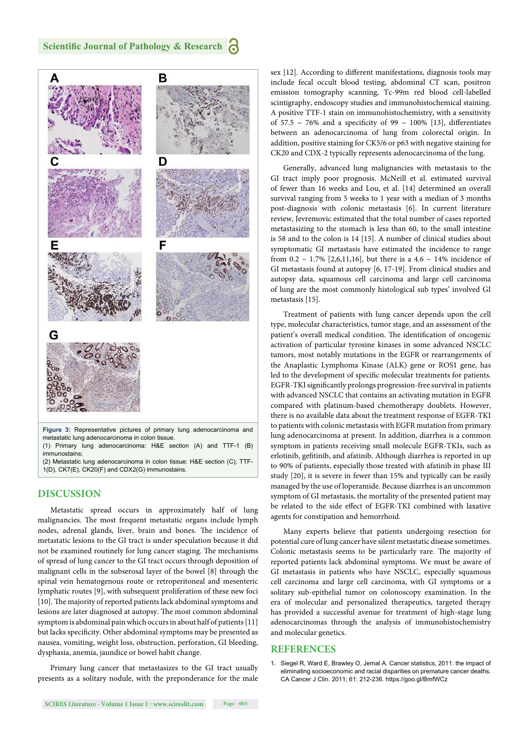## **Scientific Journal of Pathology & Research**



## **DISCUSSION**

Metastatic spread occurs in approximately half of lung malignancies. The most frequent metastatic organs include lymph nodes, adrenal glands, liver, brain and bones. The incidence of metastatic lesions to the GI tract is under speculation because it did not be examined routinely for lung cancer staging. The mechanisms of spread of lung cancer to the GI tract occurs through deposition of malignant cells in the subserosal layer of the bowel [8] through the spinal vein hematogenous route or retroperitoneal and mesenteric lymphatic routes [9], with subsequent proliferation of these new foci [10]. The majority of reported patients lack abdominal symptoms and lesions are later diagnosed at autopsy. The most common abdominal symptom is abdominal pain which occurs in about half of patients [11] but lacks specificity. Other abdominal symptoms may be presented as nausea, vomiting, weight loss, obstruction, perforation, GI bleeding, dysphasia, anemia, jaundice or bowel habit change.

Primary lung cancer that metastasizes to the GI tract usually presents as a solitary nodule, with the preponderance for the male sex [12]. According to different manifestations, diagnosis tools may include fecal occult blood testing, abdominal CT scan, positron emission tomography scanning, Tc-99m red blood cell-labelled scintigraphy, endoscopy studies and immunohistochemical staining. A positive TTF-1 stain on immunohistochemistry, with a sensitivity of 57.5  $\sim$  76% and a specificity of 99  $\sim$  100% [13], differentiates between an adenocarcinoma of lung from colorectal origin. In addition, positive staining for CK5/6 or p63 with negative staining for CK20 and CDX-2 typically represents adenocarcinoma of the lung.

Generally, advanced lung malignancies with metastasis to the GI tract imply poor prognosis. McNeill et al. estimated survival of fewer than 16 weeks and Lou, et al. [14] determined an overall survival ranging from 5 weeks to 1 year with a median of 3 months post-diagnosis with colonic metastasis [6]. In current literature review, Jevremovic estimated that the total number of cases reported metastasizing to the stomach is less than 60, to the small intestine is 58 and to the colon is 14 [15]. A number of clinical studies about symptomatic GI metastasis have estimated the incidence to range from 0.2 ~ 1.7% [2,6,11,16], but there is a 4.6 ~ 14% incidence of GI metastasis found at autopsy [6, 17-19]. From clinical studies and autopsy data, squamous cell carcinoma and large cell carcinoma of lung are the most commonly histological sub types' involved GI metastasis [15].

Treatment of patients with lung cancer depends upon the cell type, molecular characteristics, tumor stage, and an assessment of the patient's overall medical condition. The identification of oncogenic activation of particular tyrosine kinases in some advanced NSCLC tumors, most notably mutations in the EGFR or rearrangements of the Anaplastic Lymphoma Kinase (ALK) gene or ROS1 gene, has led to the development of specific molecular treatments for patients. EGFR-TKI significantly prolongs progression-free survival in patients with advanced NSCLC that contains an activating mutation in EGFR compared with platinum-based chemotherapy doublets. However, there is no available data about the treatment response of EGFR-TKI to patients with colonic metastasis with EGFR mutation from primary lung adenocarcinoma at present. In addition, diarrhea is a common symptom in patients receiving small molecule EGFR-TKIs, such as erlotinib, gefitinib, and afatinib. Although diarrhea is reported in up to 90% of patients, especially those treated with afatinib in phase III study [20], it is severe in fewer than 15% and typically can be easily managed by the use of loperamide. Because diarrhea is an uncommon symptom of GI metastasis, the mortality of the presented patient may be related to the side effect of EGFR-TKI combined with laxative agents for constipation and hemorrhoid.

Many experts believe that patients undergoing resection for potential cure of lung cancer have silent metastatic disease sometimes. Colonic metastasis seems to be particularly rare. The majority of reported patients lack abdominal symptoms. We must be aware of GI metastasis in patients who have NSCLC, especially squamous cell carcinoma and large cell carcinoma, with GI symptoms or a solitary sub-epithelial tumor on colonoscopy examination. In the era of molecular and personalized therapeutics, targeted therapy has provided a successful avenue for treatment of high-stage lung adenocarcinomas through the analysis of immunohistochemistry and molecular genetics.

## **REFERENCES**

1. Siegel R, Ward E, Brawley O, Jemal A. Cancer statistics, 2011: the impact of eliminating socioeconomic and racial disparities on premature cancer deaths. CA Cancer J Clin. 2011; 61: 212-236. https://goo.gl/BmfWCz